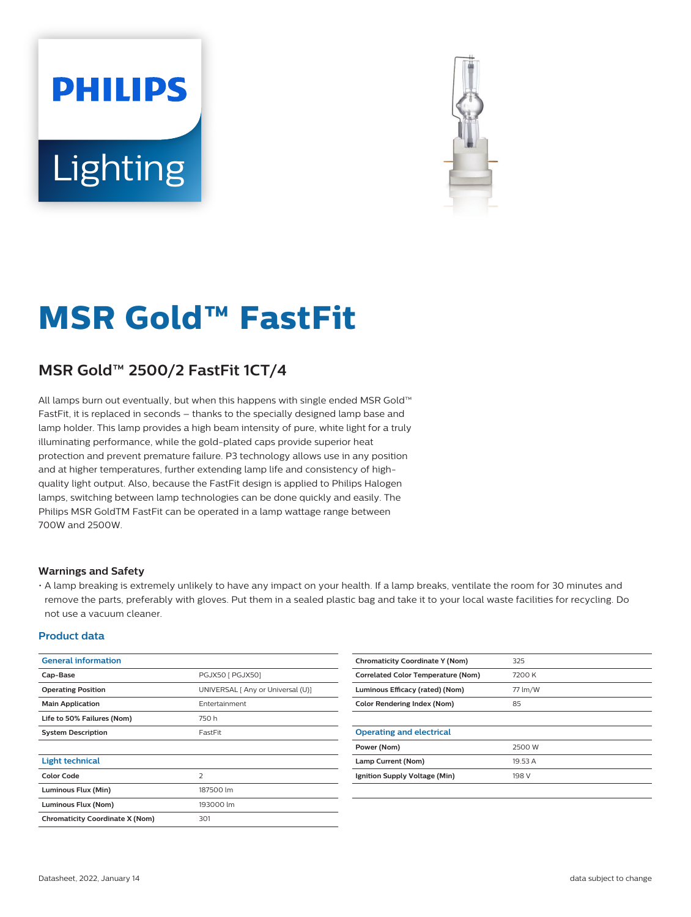# **PHILIPS** Lighting



# **MSR Gold™ FastFit**

## **MSR Gold™ 2500/2 FastFit 1CT/4**

All lamps burn out eventually, but when this happens with single ended MSR Gold™ FastFit, it is replaced in seconds – thanks to the specially designed lamp base and lamp holder. This lamp provides a high beam intensity of pure, white light for a truly illuminating performance, while the gold-plated caps provide superior heat protection and prevent premature failure. P3 technology allows use in any position and at higher temperatures, further extending lamp life and consistency of highquality light output. Also, because the FastFit design is applied to Philips Halogen lamps, switching between lamp technologies can be done quickly and easily. The Philips MSR GoldTM FastFit can be operated in a lamp wattage range between 700W and 2500W.

#### **Warnings and Safety**

• A lamp breaking is extremely unlikely to have any impact on your health. If a lamp breaks, ventilate the room for 30 minutes and remove the parts, preferably with gloves. Put them in a sealed plastic bag and take it to your local waste facilities for recycling. Do not use a vacuum cleaner.

#### **Product data**

| <b>General information</b>             |                                   | <b>Chromaticity Coordinate Y (Nom)</b>    | 325     |
|----------------------------------------|-----------------------------------|-------------------------------------------|---------|
| Cap-Base                               | PGJX50 [ PGJX50]                  | <b>Correlated Color Temperature (Nom)</b> |         |
| <b>Operating Position</b>              | UNIVERSAL [ Any or Universal (U)] | Luminous Efficacy (rated) (Nom)           | 77 lm/W |
| <b>Main Application</b>                | Entertainment                     | <b>Color Rendering Index (Nom)</b>        | 85      |
| Life to 50% Failures (Nom)             | 750 h                             |                                           |         |
| <b>System Description</b>              | FastFit                           | <b>Operating and electrical</b>           |         |
|                                        |                                   | Power (Nom)                               | 2500 W  |
| <b>Light technical</b>                 |                                   | Lamp Current (Nom)                        | 19.53 A |
| <b>Color Code</b>                      | 2                                 | Ignition Supply Voltage (Min)             | 198 V   |
| Luminous Flux (Min)                    | 187500 lm                         |                                           |         |
| Luminous Flux (Nom)                    | 193000 lm                         |                                           |         |
| <b>Chromaticity Coordinate X (Nom)</b> | 301                               |                                           |         |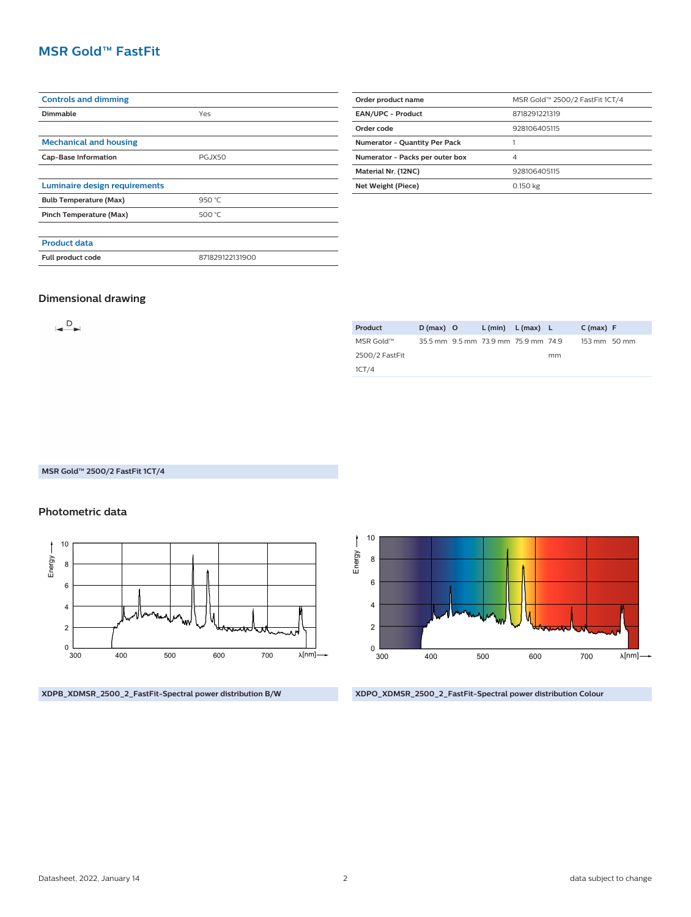### **MSR Gold™ FastFit**

| <b>Controls and dimming</b>   |                 |  |  |  |  |
|-------------------------------|-----------------|--|--|--|--|
| Dimmable                      | Yes             |  |  |  |  |
|                               |                 |  |  |  |  |
| <b>Mechanical and housing</b> |                 |  |  |  |  |
| <b>Cap-Base Information</b>   | <b>PGJX50</b>   |  |  |  |  |
|                               |                 |  |  |  |  |
| Luminaire design requirements |                 |  |  |  |  |
| <b>Bulb Temperature (Max)</b> | 950 °C          |  |  |  |  |
| Pinch Temperature (Max)       | 500 °C          |  |  |  |  |
|                               |                 |  |  |  |  |
| <b>Product data</b>           |                 |  |  |  |  |
| Full product code             | 871829122131900 |  |  |  |  |
|                               |                 |  |  |  |  |

| Order product name                   | MSR Gold™ 2500/2 FastFit 1CT/4 |  |  |  |
|--------------------------------------|--------------------------------|--|--|--|
|                                      |                                |  |  |  |
| <b>EAN/UPC - Product</b>             | 8718291221319                  |  |  |  |
| Order code                           | 928106405115                   |  |  |  |
| <b>Numerator - Quantity Per Pack</b> |                                |  |  |  |
| Numerator - Packs per outer box      | $\overline{4}$                 |  |  |  |
| Material Nr. (12NC)                  | 928106405115                   |  |  |  |
| Net Weight (Piece)                   | 0.150 kg                       |  |  |  |

#### **Dimensional drawing**

 $\rightarrow$ 

| Product        | $D(max)$ O | $L(min)$ $L(max)$ $L$               |    | C(max) F               |
|----------------|------------|-------------------------------------|----|------------------------|
| MSR Gold™      |            | 35.5 mm 9.5 mm 73.9 mm 75.9 mm 74.9 |    | $153 \text{ mm}$ 50 mm |
| 2500/2 FastFit |            |                                     | mm |                        |
| 1CT/4          |            |                                     |    |                        |

#### **MSR Gold™ 2500/2 FastFit 1CT/4**

#### **Photometric data**







**XDPO\_XDMSR\_2500\_2\_FastFit-Spectral power distribution Colour**